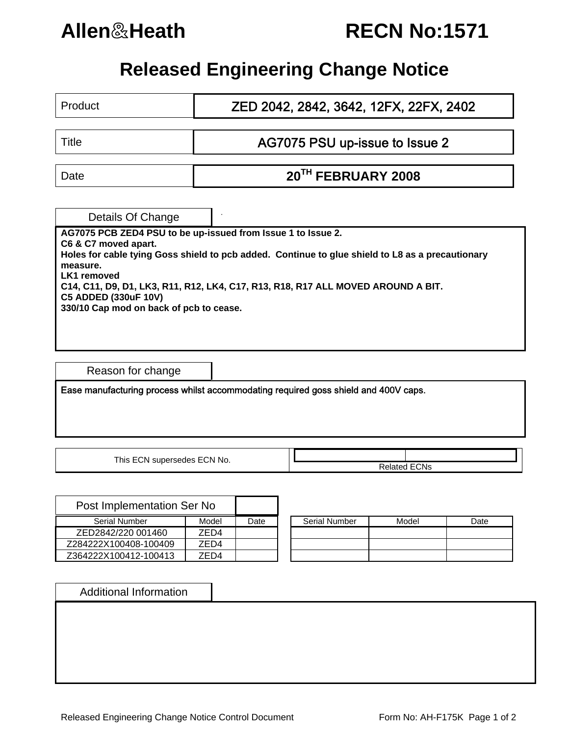# **Allen**&**Heath RECN No:1571**

## **Released Engineering Change Notice**

| Product                                                                                                                                                                                                                                 | ZED 2042, 2842, 3642, 12FX, 22FX, 2402 |  |  |  |  |  |  |  |
|-----------------------------------------------------------------------------------------------------------------------------------------------------------------------------------------------------------------------------------------|----------------------------------------|--|--|--|--|--|--|--|
|                                                                                                                                                                                                                                         |                                        |  |  |  |  |  |  |  |
| Title                                                                                                                                                                                                                                   | AG7075 PSU up-issue to Issue 2         |  |  |  |  |  |  |  |
|                                                                                                                                                                                                                                         |                                        |  |  |  |  |  |  |  |
| Date                                                                                                                                                                                                                                    | 20 <sup>TH</sup> FEBRUARY 2008         |  |  |  |  |  |  |  |
|                                                                                                                                                                                                                                         |                                        |  |  |  |  |  |  |  |
| Details Of Change                                                                                                                                                                                                                       |                                        |  |  |  |  |  |  |  |
| AG7075 PCB ZED4 PSU to be up-issued from Issue 1 to Issue 2.                                                                                                                                                                            |                                        |  |  |  |  |  |  |  |
| C6 & C7 moved apart.<br>Holes for cable tying Goss shield to pcb added. Continue to glue shield to L8 as a precautionary<br>measure.<br>LK1 removed<br>C14, C11, D9, D1, LK3, R11, R12, LK4, C17, R13, R18, R17 ALL MOVED AROUND A BIT. |                                        |  |  |  |  |  |  |  |
| <b>C5 ADDED (330uF 10V)</b><br>330/10 Cap mod on back of pcb to cease.                                                                                                                                                                  |                                        |  |  |  |  |  |  |  |
|                                                                                                                                                                                                                                         |                                        |  |  |  |  |  |  |  |

Reason for change

Ease manufacturing process whilst accommodating required goss shield and 400V caps.

|  | This ECN supersedes ECN No. |  |
|--|-----------------------------|--|
|  |                             |  |

**Related ECNs** 

| Post Implementation Ser No |       |      |                      |  |
|----------------------------|-------|------|----------------------|--|
| <b>Serial Number</b>       | Model | Date | <b>Serial Number</b> |  |
| ZED2842/220 001460         | 7FD4  |      |                      |  |
| Z284222X100408-100409      | 7FD4  |      |                      |  |
| Z364222X100412-100413      | 7FD4  |      |                      |  |

| <b>Serial Number</b> | Model | Date |
|----------------------|-------|------|
|                      |       |      |
|                      |       |      |
|                      |       |      |

Additional Information